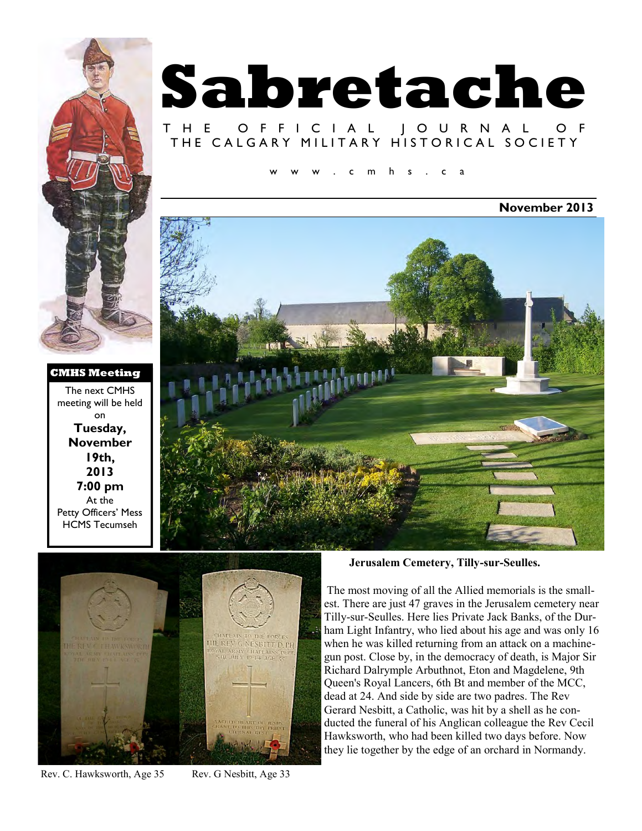

## **CMHS Meeting**

The next CMHS meeting will be held on **Tuesday, November 19th, 2013 7:00 pm**  At the Petty Officers' Mess HCMS Tecumseh

# **Sabretache**

# T H E O F F I C I A L J O U R N A L THE CALGARY MILITARY HISTORICAL SOCIETY

 $m$  h s . c a

**November 2013** 





Rev. C. Hawksworth, Age 35 Rev. G Nesbitt, Age 33

**Jerusalem Cemetery, Tilly-sur-Seulles.**

 The most moving of all the Allied memorials is the smallest. There are just 47 graves in the Jerusalem cemetery near Tilly-sur-Seulles. Here lies Private Jack Banks, of the Durham Light Infantry, who lied about his age and was only 16 when he was killed returning from an attack on a machinegun post. Close by, in the democracy of death, is Major Sir Richard Dalrymple Arbuthnot, Eton and Magdelene, 9th Queen's Royal Lancers, 6th Bt and member of the MCC, dead at 24. And side by side are two padres. The Rev Gerard Nesbitt, a Catholic, was hit by a shell as he conducted the funeral of his Anglican colleague the Rev Cecil Hawksworth, who had been killed two days before. Now they lie together by the edge of an orchard in Normandy.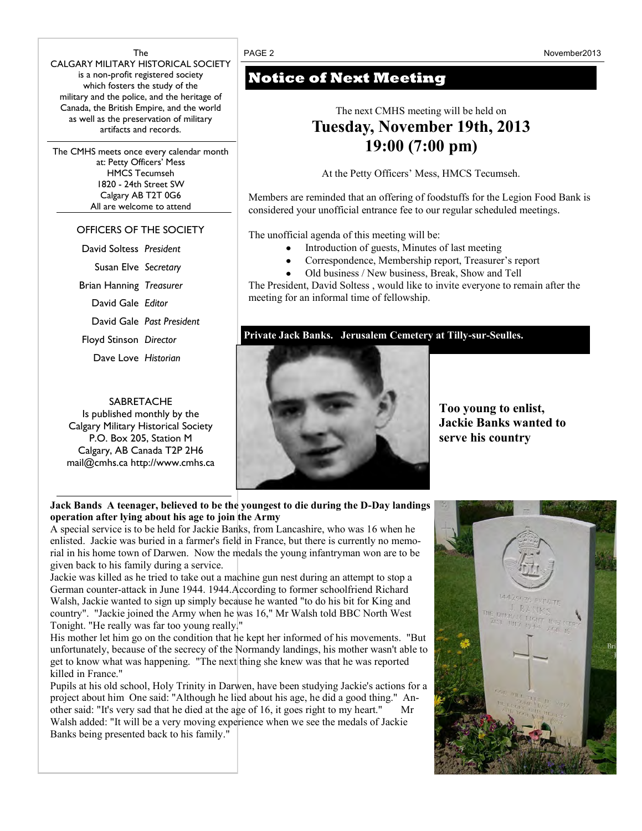The **PAGE 2** PAGE 2 **November2013** 

CALGARY MILITARY HISTORICAL SOCIETY is a non-profit registered society which fosters the study of the military and the police, and the heritage of Canada, the British Empire, and the world as well as the preservation of military artifacts and records.

The CMHS meets once every calendar month at: Petty Officers' Mess HMCS Tecumseh 1820 - 24th Street SW Calgary AB T2T 0G6 All are welcome to attend

# OFFICERS OF THE SOCIETY

David Soltess *President* 

Susan Elve *Secretary* 

Brian Hanning *Treasurer* 

David Gale *Editor* 

David Gale *Past President* 

Floyd Stinson *Director* 

Dave Love *Historian* 

## SABRETACHE

Is published monthly by the Calgary Military Historical Society P.O. Box 205, Station M Calgary, AB Canada T2P 2H6 mail@cmhs.ca http://www.cmhs.ca

# **Notice of Next Meeting**

# The next CMHS meeting will be held on **Tuesday, November 19th, 2013 19:00 (7:00 pm)**

At the Petty Officers' Mess, HMCS Tecumseh.

Members are reminded that an offering of foodstuffs for the Legion Food Bank is considered your unofficial entrance fee to our regular scheduled meetings*.* 

The unofficial agenda of this meeting will be:

- Introduction of guests, Minutes of last meeting
- Correspondence, Membership report, Treasurer's report
- Old business / New business, Break, Show and Tell

The President, David Soltess , would like to invite everyone to remain after the meeting for an informal time of fellowship.

## **Private Jack Banks. Jerusalem Cemetery at Tilly-sur-Seulles.**



**Too young to enlist, Jackie Banks wanted to serve his country** 

**Jack Bands A teenager, believed to be the youngest to die during the D-Day landings operation after lying about his age to join the Army** 

A special service is to be held for Jackie Banks, from Lancashire, who was 16 when he enlisted. Jackie was buried in a farmer's field in France, but there is currently no memorial in his home town of Darwen. Now the medals the young infantryman won are to be given back to his family during a service.

Jackie was killed as he tried to take out a machine gun nest during an attempt to stop a German counter-attack in June 1944. 1944.According to former schoolfriend Richard Walsh, Jackie wanted to sign up simply because he wanted "to do his bit for King and country". "Jackie joined the Army when he was 16," Mr Walsh told BBC North West Tonight. "He really was far too young really."

His mother let him go on the condition that he kept her informed of his movements. "But unfortunately, because of the secrecy of the Normandy landings, his mother wasn't able to get to know what was happening. "The next thing she knew was that he was reported killed in France."

Pupils at his old school, Holy Trinity in Darwen, have been studying Jackie's actions for a project about him One said: "Although he lied about his age, he did a good thing." Another said: "It's very sad that he died at the age of 16, it goes right to my heart." Mr Walsh added: "It will be a very moving experience when we see the medals of Jackie Banks being presented back to his family."

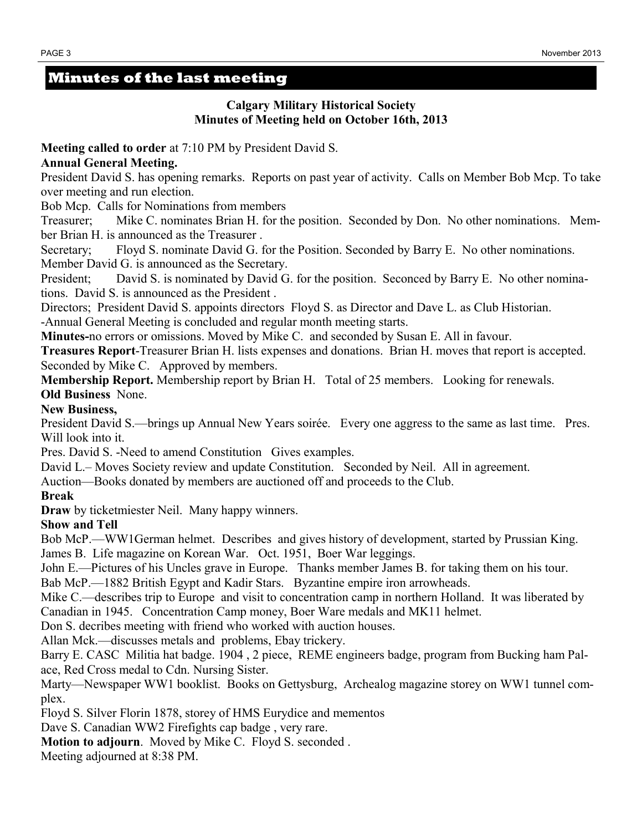# **Minutes of the last meeting**

# **Calgary Military Historical Society Minutes of Meeting held on October 16th, 2013**

**Meeting called to order** at 7:10 PM by President David S.

# **Annual General Meeting.**

President David S. has opening remarks. Reports on past year of activity. Calls on Member Bob Mcp. To take over meeting and run election.

Bob Mcp. Calls for Nominations from members

Treasurer; Mike C. nominates Brian H. for the position. Seconded by Don. No other nominations. Member Brian H. is announced as the Treasurer .

Secretary; Floyd S. nominate David G. for the Position. Seconded by Barry E. No other nominations. Member David G. is announced as the Secretary.

President; David S. is nominated by David G. for the position. Seconced by Barry E. No other nominations. David S. is announced as the President .

Directors; President David S. appoints directors Floyd S. as Director and Dave L. as Club Historian. -Annual General Meeting is concluded and regular month meeting starts.

**Minutes-**no errors or omissions. Moved by Mike C. and seconded by Susan E. All in favour.

**Treasures Report**-Treasurer Brian H. lists expenses and donations. Brian H. moves that report is accepted. Seconded by Mike C. Approved by members.

**Membership Report.** Membership report by Brian H. Total of 25 members. Looking for renewals. **Old Business** None.

# **New Business,**

President David S.—brings up Annual New Years soirée. Every one aggress to the same as last time. Pres. Will look into it.

Pres. David S. -Need to amend Constitution Gives examples.

David L.– Moves Society review and update Constitution. Seconded by Neil. All in agreement.

Auction—Books donated by members are auctioned off and proceeds to the Club.

# **Break**

**Draw** by ticketmiester Neil. Many happy winners.

# **Show and Tell**

Bob McP.—WW1German helmet. Describes and gives history of development, started by Prussian King. James B. Life magazine on Korean War. Oct. 1951, Boer War leggings.

John E.—Pictures of his Uncles grave in Europe. Thanks member James B. for taking them on his tour. Bab McP.—1882 British Egypt and Kadir Stars. Byzantine empire iron arrowheads.

Mike C.—describes trip to Europe and visit to concentration camp in northern Holland. It was liberated by Canadian in 1945. Concentration Camp money, Boer Ware medals and MK11 helmet.

Don S. decribes meeting with friend who worked with auction houses.

Allan Mck.—discusses metals and problems, Ebay trickery.

Barry E. CASC Militia hat badge. 1904 , 2 piece, REME engineers badge, program from Bucking ham Palace, Red Cross medal to Cdn. Nursing Sister.

Marty—Newspaper WW1 booklist. Books on Gettysburg, Archealog magazine storey on WW1 tunnel complex.

Floyd S. Silver Florin 1878, storey of HMS Eurydice and mementos

Dave S. Canadian WW2 Firefights cap badge , very rare.

**Motion to adjourn**. Moved by Mike C. Floyd S. seconded .

Meeting adjourned at 8:38 PM.